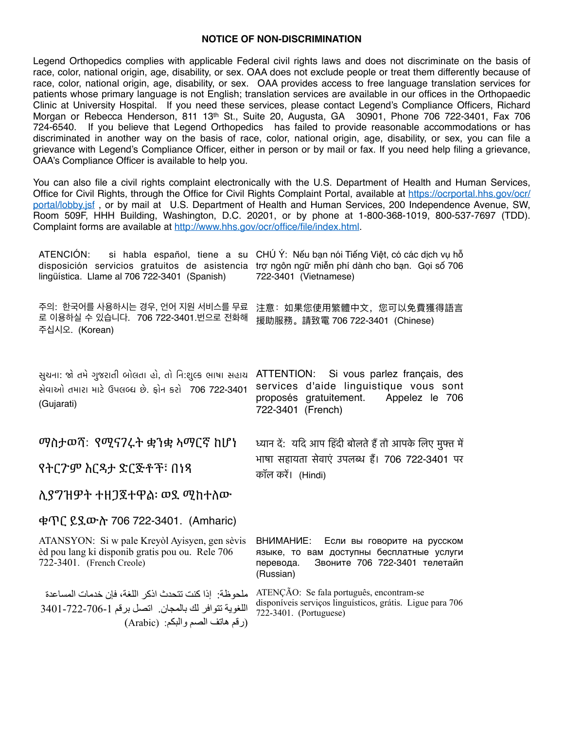## **NOTICE OF NON-DISCRIMINATION**

Legend Orthopedics complies with applicable Federal civil rights laws and does not discriminate on the basis of race, color, national origin, age, disability, or sex. OAA does not exclude people or treat them differently because of race, color, national origin, age, disability, or sex. OAA provides access to free language translation services for patients whose primary language is not English; translation services are available in our offices in the Orthopaedic Clinic at University Hospital. If you need these services, please contact Legend's Compliance Officers, Richard Morgan or Rebecca Henderson, 811 13th St., Suite 20, Augusta, GA 30901, Phone 706 722-3401, Fax 706 724-6540. If you believe that Legend Orthopedics has failed to provide reasonable accommodations or has discriminated in another way on the basis of race, color, national origin, age, disability, or sex, you can file a grievance with Legend's Compliance Officer, either in person or by mail or fax. If you need help filing a grievance, OAA's Compliance Officer is available to help you.

You can also file a civil rights complaint electronically with the U.S. Department of Health and Human Services, Office for Civil Rights, through the Office for Civil Rights Complaint Portal, available at https://ocrportal.hhs.gov/ocr/ portal/lobby.isf, or by mail at U.S. Department of Health and Human Services, 200 Independence Avenue, SW. Room 509F, HHH Building, Washington, D.C. 20201, or by phone at 1-800-368-1019, 800-537-7697 (TDD). Complaint forms are available at http://www.hhs.gov/ocr/office/file/index.html

| ATENCIÓN: si habla español, tiene a su<br>disposición servicios gratuitos de asistencia<br>lingüística. Llame al 706 722-3401 (Spanish) | CHÚ Ý: Nếu bạn nói Tiếng Việt, có các dịch vụ hỗ<br>trợ ngôn ngữ miễn phí dành cho bạn. Gọi số 706<br>722-3401 (Vietnamese)                     |
|-----------------------------------------------------------------------------------------------------------------------------------------|-------------------------------------------------------------------------------------------------------------------------------------------------|
| 주의: 한국어를 사용하시는 경우, 언어 지원 서비스를 무료<br>로 이용하실 수 있습니다. 706 722-3401.번으로 전화해<br>주십시오. (Korean)                                               | 注意:如果您使用繁體中文,您可以免費獲得語言<br>援助服務。請致電 706 722-3401 (Chinese)                                                                                       |
| સુચના: જો તમે ગુજરાતી બોલતા હો, તો નિ:શુલ્ક ભાષા સહાચ<br>સેવાઓ તમારા માટે ઉપલબ્ધ છે. ફોન કરો 706 722-3401<br>(Gujarati)                 | ATTENTION: Si vous parlez français, des<br>services d'aide linguistique vous sont<br>proposés gratuitement. Appelez le 706<br>722-3401 (French) |
| ማስታወሻ: የሚናንሩት ቋንቋ ኣማርኛ ከሆነ                                                                                                              | ध्यान दें: यदि आप हिंदी बोलते हैं तो आपके लिए मुफ्त में                                                                                         |
| የትርንም እርዳታ ድርጅቶች፣ በነጻ                                                                                                                   | भाषा सहायता सेवाएं उपलब्ध हैं। 706 722-3401 पर<br>कॉल करें। (Hindi)                                                                             |
| <u> ሊያፖዝዎት ተዘጋጀተዋል፡ ወያ ሚከተለው</u>                                                                                                        |                                                                                                                                                 |
| ቁጥር ይደውስ 706 722-3401. (Amharic)                                                                                                        |                                                                                                                                                 |
| ATANSYON: Si w pale Kreyòl Ayisyen, gen sèvis<br>èd pou lang ki disponib gratis pou ou. Rele 706<br>722-3401. (French Creole)           | BHUMAHUE:<br>Если вы говорите на русском<br>языке, то вам доступны бесплатные услуги<br>Звоните 706 722-3401 телетайп<br>перевода.<br>(Russian) |

ملحو ظة· إذا كنت تتحدث اذكر اللغة، فإن خدمات المساعدة ATENÇÃO: Se fala português, encontram-se disponíveis serviços linguísticos, grátis. Ligue para 706 اللغوية تتوافر لك بالمجان. اتصل برقم 1-726-722-3401 722-3401. (Portuguese) (رقم هاتف الصم والبكم: (Arabic)